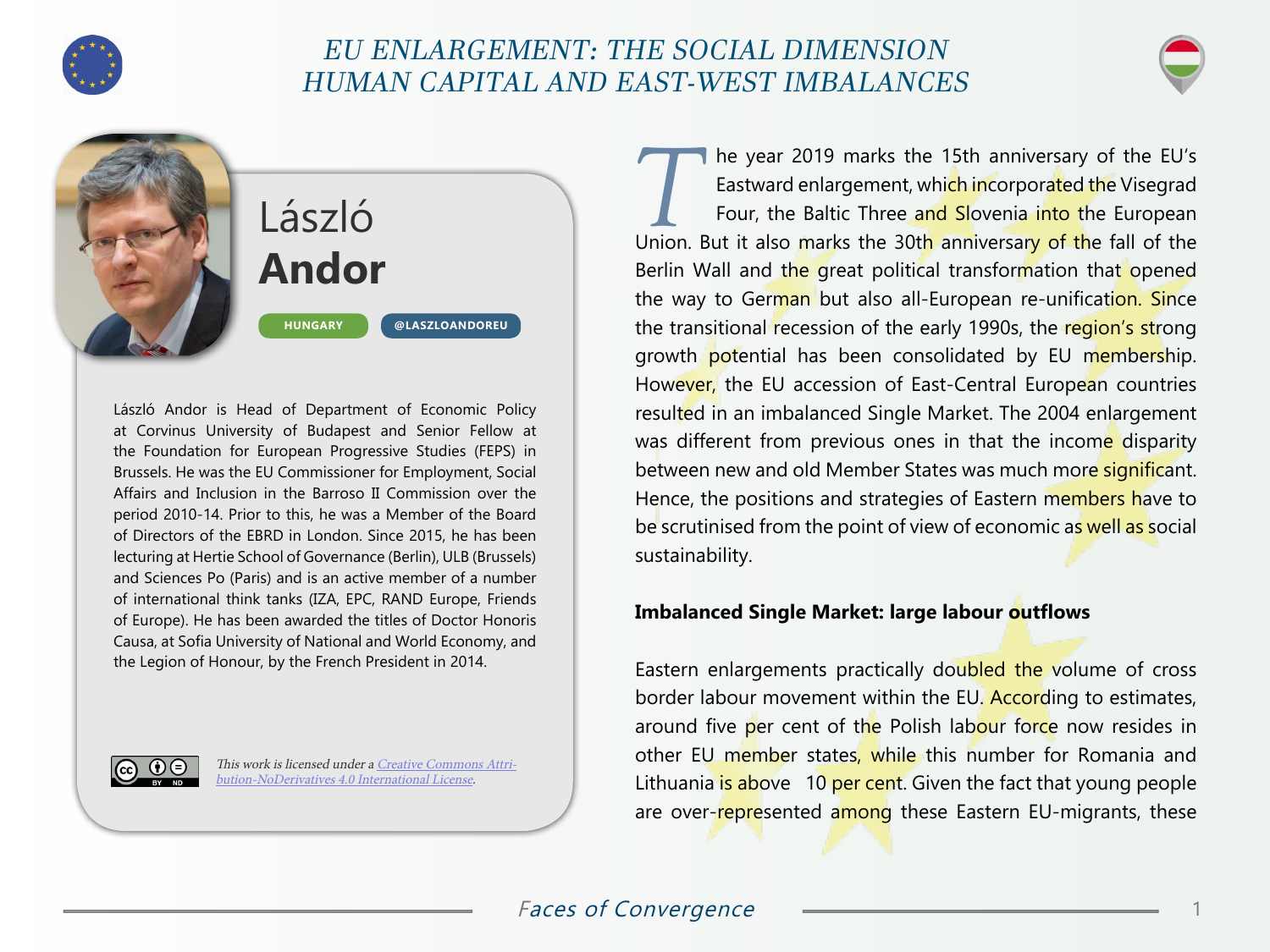

## EU ENLARGEMENT: THE SOCIAL DIMENSION HUMAN CAPITAL AND EAST-WEST IMBALANCES



László **Andor HUNGARY [@LASZLOANDOREU](https://twitter.com/LaszloAndorEU)**

László Andor is Head of Department of Economic Policy at Corvinus University of Budapest and Senior Fellow at the Foundation for European Progressive Studies (FEPS) in Brussels. He was the EU Commissioner for Employment, Social Affairs and Inclusion in the Barroso II Commission over the period 2010-14. Prior to this, he was a Member of the Board of Directors of the EBRD in London. Since 2015, he has been lecturing at Hertie School of Governance (Berlin), ULB (Brussels) and Sciences Po (Paris) and is an active member of a number of international think tanks (IZA, EPC, RAND Europe, Friends of Europe). He has been awarded the titles of Doctor Honoris Causa, at Sofia University of National and World Economy, and the Legion of Honour, by the French President in 2014.



This work is licensed under a [Creative Commons Attri](https://creativecommons.org/licenses/by-nd/4.0/)[bution-NoDerivatives 4.0 International License](https://creativecommons.org/licenses/by-nd/4.0/).

The year 2019 marks the 15th anniversary of the EU's<br>Eastward enlargement, which incorporated the Visegrad<br>Four, the Baltic Three and Slovenia into the European Eastward enlargement, whi<mark>ch in</mark>corporated the Visegrad Four, the Baltic Three and Slovenia into the European Union. But it also marks the 30th anniversary of the fall of the Berlin Wall and the great political transformation that opened the way to German but also all-European re-unification. Since the transitional recession of the early 1990s, the region's strong growth potential has been consolidated by EU membership. However, the EU accession of East-Central European countries resulted in an imbalanced Single Market. The 2004 enlargement was different from previous ones in that the income disparity between new and old Member States was much more significant. Hence, the positions and strategies of Eastern members have to be scrutinised from the point of view of economic as well as social sustainability.

### **Imbalanced Single Market: large labour outflows**

Eastern enlargements practically doubled the volume of cross border labour movement within the EU. According to estimates, around five per cent of the Polish labour force now resides in other EU member states, while this number for Romania and Lithuania is above 10 per cent. Given the fact that young people are over-represented among these Eastern EU-migrants, these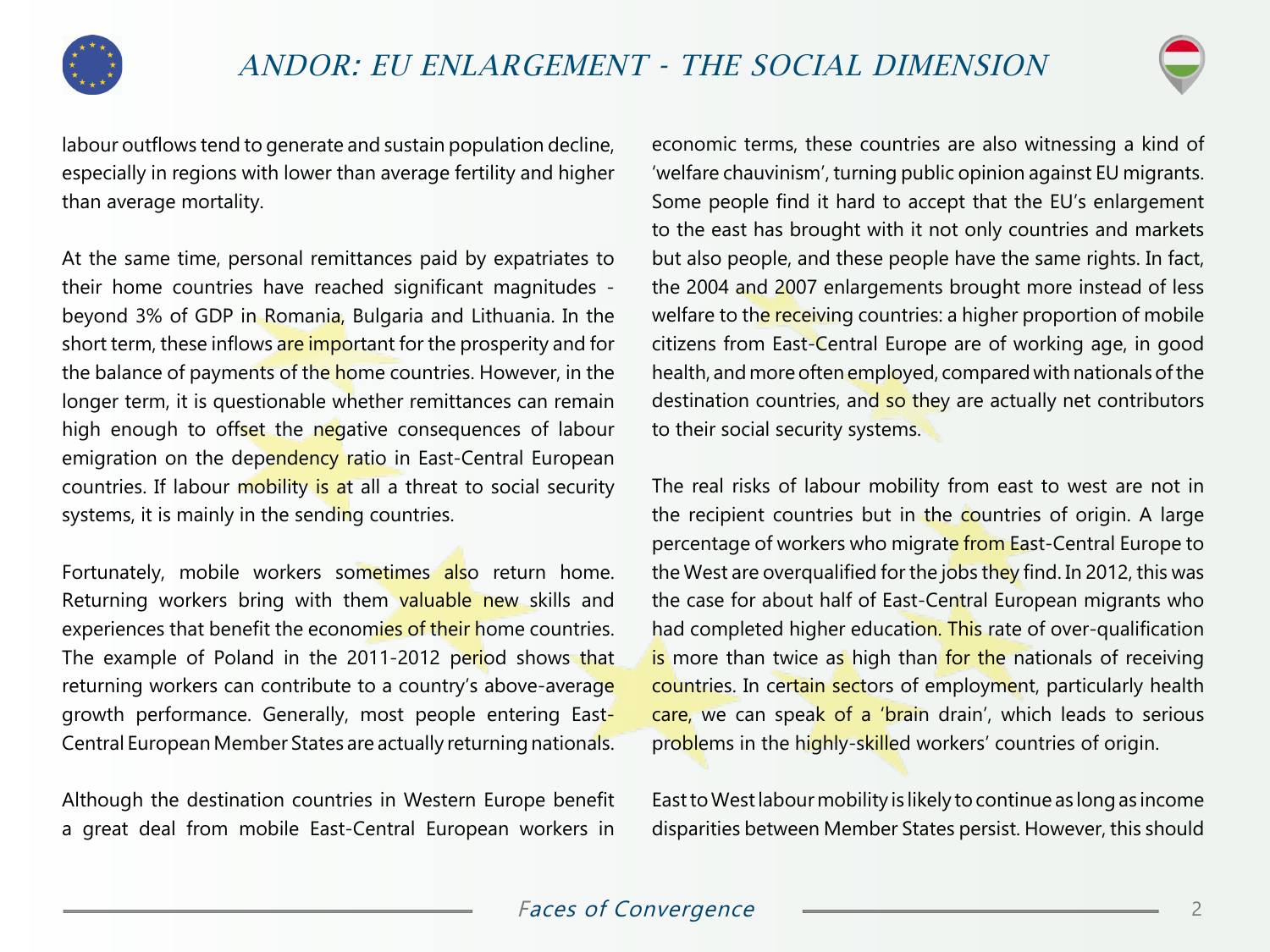



labour outflows tend to generate and sustain population decline, especially in regions with lower than average fertility and higher than average mortality.

At the same time, personal remittances paid by expatriates to their home countries have reached significant magnitudes beyond 3% of GDP in Romania, Bulgaria and Lithuania. In the short term, these inflows are important for the prosperity and for the balance of payments of the home countries. However, in the longer term, it is questionable whether remittances can remain high enough to offset the negative consequences of labour emigration on the dependency ratio in East-Central European countries. If labour mobility is at all a threat to social security systems, it is mainly in the sending countries.

Fortunately, mobile workers sometimes also return home. Returning workers bring with them valuable new skills and experiences that benefit the economies of their home countries. The example of Poland in the 2011-2012 period shows that returning workers can contribute to a country's above-average growth performance. Generally, most people entering East-Central European Member States are actually returning nationals.

Although the destination countries in Western Europe benefit a great deal from mobile East-Central European workers in

economic terms, these countries are also witnessing a kind of 'welfare chauvinism', turning public opinion against EU migrants. Some people find it hard to accept that the EU's enlargement to the east has brought with it not only countries and markets but also people, and these people have the same rights. In fact, the 2004 and 2007 enlargements brought more instead of less welfare to the receiving countries: a higher proportion of mobile citizens from East-Central Europe are of working age, in good health, and more often employed, compared with nationals of the destination countries, and so they are actually net contributors to their social security systems.

The real risks of labour mobility from east to west are not in the recipient countries but in the countries of origin. A large percentage of workers who migrate from East-Central Europe to the West are overqualified for the jobs they find. In 2012, this was the case for about half of East-Central European migrants who had completed higher education. This rate of over-qualification is more than twice as high than for the nationals of receiving countries. In certain sectors of employment, particularly health care, we can speak of a 'brain drain', which leads to serious problems in the highly-skilled workers' countries of origin.

East to West labour mobility is likely to continue as long as income disparities between Member States persist. However, this should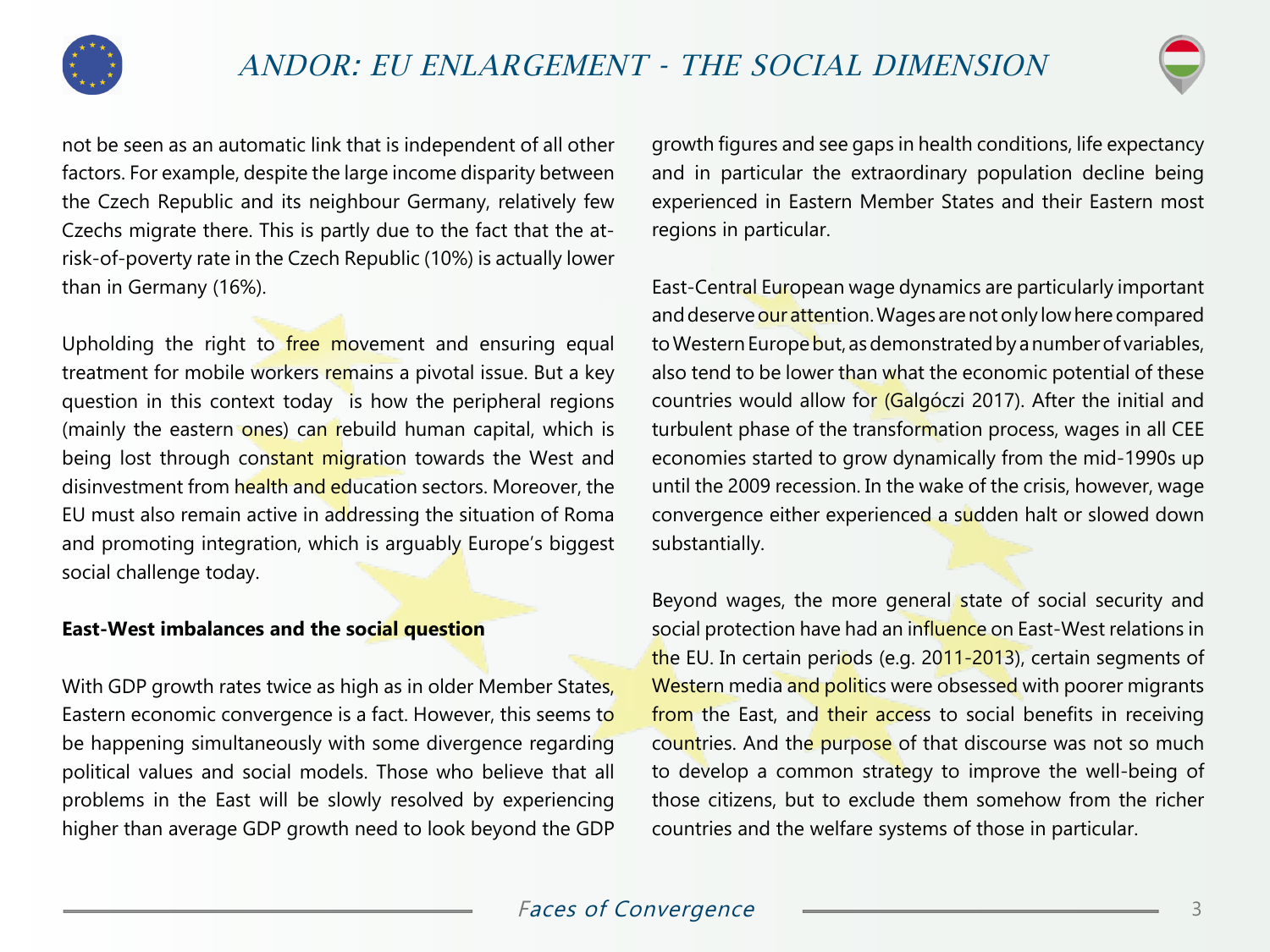



not be seen as an automatic link that is independent of all other factors. For example, despite the large income disparity between the Czech Republic and its neighbour Germany, relatively few Czechs migrate there. This is partly due to the fact that the atrisk-of-poverty rate in the Czech Republic (10%) is actually lower than in Germany (16%).

Upholding the right to free movement and ensuring equal treatment for mobile workers remains a pivotal issue. But a key question in this context today is how the peripheral regions (mainly the eastern ones) can rebuild human capital, which is being lost through constant migration towards the West and disinvestment from health and education sectors. Moreover, the EU must also remain active in addressing the situation of Roma and promoting integration, which is arguably Europe's biggest social challenge today.

#### **East-West imbalances and the social question**

With GDP growth rates twice as high as in older Member States, Eastern economic convergence is a fact. However, this seems to be happening simultaneously with some divergence regarding political values and social models. Those who believe that all problems in the East will be slowly resolved by experiencing higher than average GDP growth need to look beyond the GDP growth figures and see gaps in health conditions, life expectancy and in particular the extraordinary population decline being experienced in Eastern Member States and their Eastern most regions in particular.

East-Central European wage dynamics are particularly important and deserve our attention. Wages are not only low here compared to Western Europe but, as demonstrated by a number of variables, also tend to be lower than what the economic potential of these countries would allow for (Galgóczi 2017). After the initial and turbulent phase of the transformation process, wages in all CEE economies started to grow dynamically from the mid-1990s up until the 2009 recession. In the wake of the crisis, however, wage convergence either experienced a sudden halt or slowed down substantially.

Beyond wages, the more general state of social security and social protection have had an influence on East-West relations in the EU. In certain periods (e.g. 2011-2013), certain segments of Western media and politics were obsessed with poorer migrants from the East, and their access to social benefits in receiving countries. And the purpose of that discourse was not so much to develop a common strategy to improve the well-being of those citizens, but to exclude them somehow from the richer countries and the welfare systems of those in particular.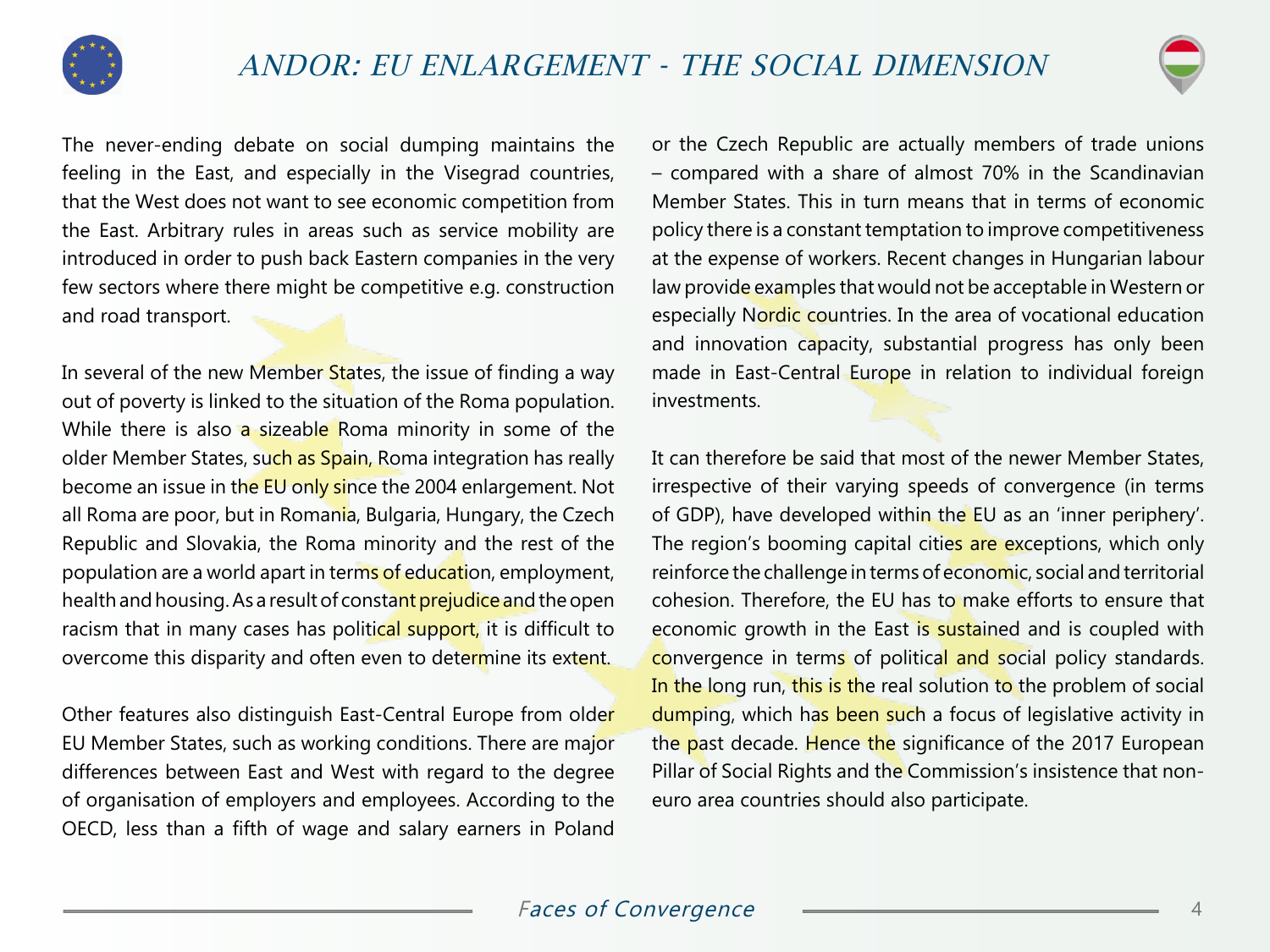



The never-ending debate on social dumping maintains the feeling in the East, and especially in the Visegrad countries, that the West does not want to see economic competition from the East. Arbitrary rules in areas such as service mobility are introduced in order to push back Eastern companies in the very few sectors where there might be competitive e.g. construction and road transport.

In several of the new Member States, the issue of finding a way out of poverty is linked to the situation of the Roma population. While there is also a sizeable Roma minority in some of the older Member States, such as Spain, Roma integration has really become an issue in the EU only since the 2004 enlargement. Not all Roma are poor, but in Romania, Bulgaria, Hungary, the Czech Republic and Slovakia, the Roma minority and the rest of the population are a world apart in terms of education, employment, health and housing. As a result of constant prejudice and the open racism that in many cases has political support, it is difficult to overcome this disparity and often even to determine its extent.

Other features also distinguish East-Central Europe from older EU Member States, such as working conditions. There are major differences between East and West with regard to the degree of organisation of employers and employees. According to the OECD, less than a fifth of wage and salary earners in Poland

or the Czech Republic are actually members of trade unions – compared with a share of almost 70% in the Scandinavian Member States. This in turn means that in terms of economic policy there is a constant temptation to improve competitiveness at the expense of workers. Recent changes in Hungarian labour law provide examples that would not be acceptable in Western or especially Nordic countries. In the area of vocational education and innovation capacity, substantial progress has only been made in East-Central Europe in relation to individual foreign investments.

It can therefore be said that most of the newer Member States, irrespective of their varying speeds of convergence (in terms of GDP), have developed within the EU as an 'inner periphery'. The region's booming capital cities are exceptions, which only reinforce the challenge in terms of economic, social and territorial cohesion. Therefore, the EU has to make efforts to ensure that economic growth in the East is sustained and is coupled with convergence in terms of political and social policy standards. In the long run, this is the real solution to the problem of social dumping, which has been such a focus of legislative activity in the past decade. Hence the significance of the 2017 European Pillar of Social Rights and the Commission's insistence that noneuro area countries should also participate.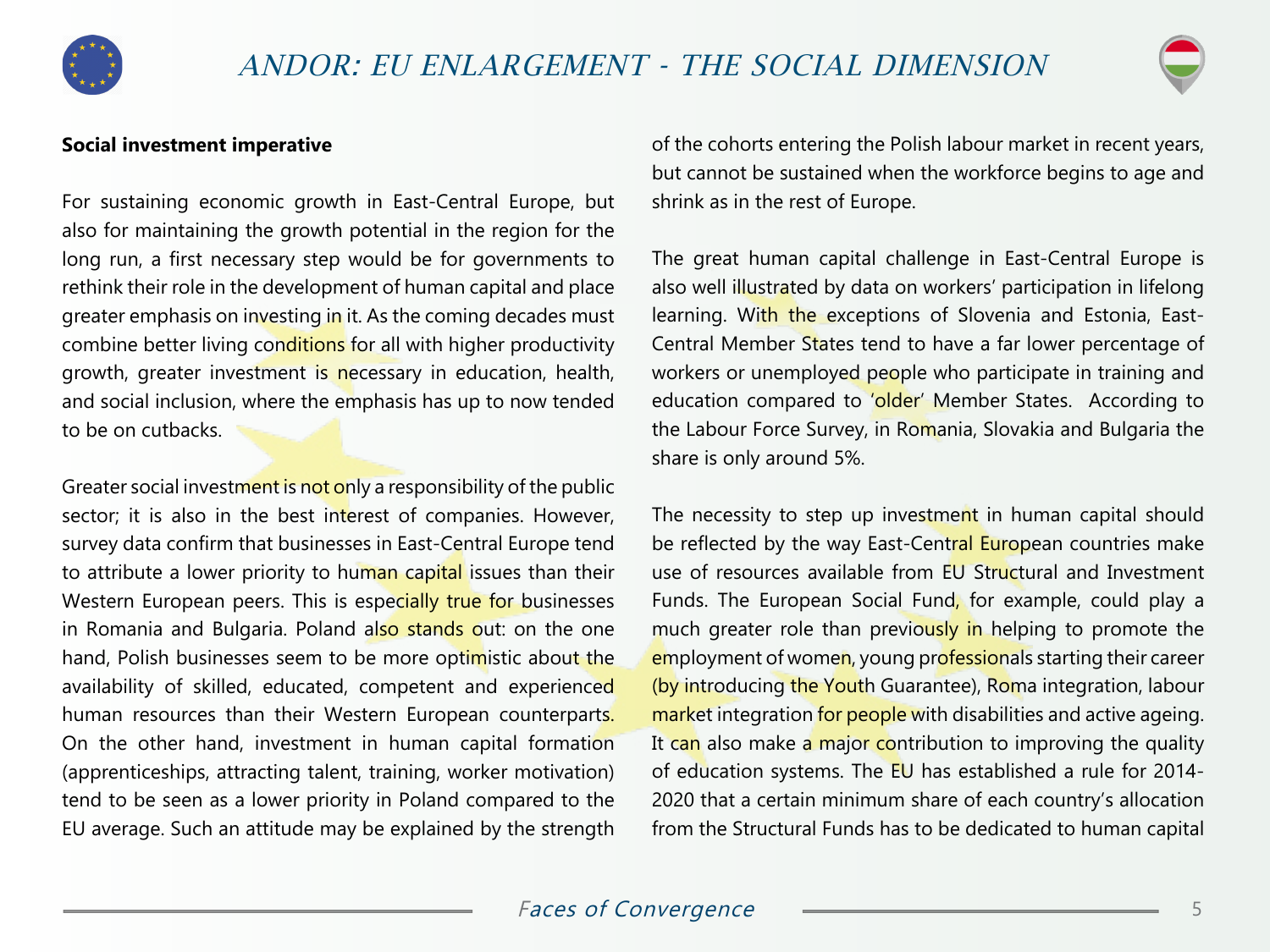



### **Social investment imperative**

For sustaining economic growth in East-Central Europe, but also for maintaining the growth potential in the region for the long run, a first necessary step would be for governments to rethink their role in the development of human capital and place greater emphasis on investing in it. As the coming decades must combine better living conditions for all with higher productivity growth, greater investment is necessary in education, health, and social inclusion, where the emphasis has up to now tended to be on cutbacks.

Greater social investment is not only a responsibility of the public sector; it is also in the best interest of companies. However, survey data confirm that businesses in East-Central Europe tend to attribute a lower priority to human capital issues than their Western European peers. This is especially true for businesses in Romania and Bulgaria. Poland also stands out: on the one hand, Polish businesses seem to be more optimistic about the availability of skilled, educated, competent and experienced human resources than their Western European counterparts. On the other hand, investment in human capital formation (apprenticeships, attracting talent, training, worker motivation) tend to be seen as a lower priority in Poland compared to the EU average. Such an attitude may be explained by the strength of the cohorts entering the Polish labour market in recent years, but cannot be sustained when the workforce begins to age and shrink as in the rest of Europe.

The great human capital challenge in East-Central Europe is also well illustrated by data on workers' participation in lifelong learning. With the exceptions of Slovenia and Estonia, East-Central Member States tend to have a far lower percentage of workers or unemployed people who participate in training and education compared to 'older' Member States. According to the Labour Force Survey, in Romania, Slovakia and Bulgaria the share is only around 5%.

The necessity to step up investment in human capital should be reflected by the way East-Central European countries make use of resources available from EU Structural and Investment Funds. The European Social Fund, for example, could play a much greater role than previously in helping to promote the employment of women, young professionals starting their career (by introducing the Youth Guarantee), Roma integration, labour market integration for people with disabilities and active ageing. It can also make a major contribution to improving the quality of education systems. The EU has established a rule for 2014- 2020 that a certain minimum share of each country's allocation from the Structural Funds has to be dedicated to human capital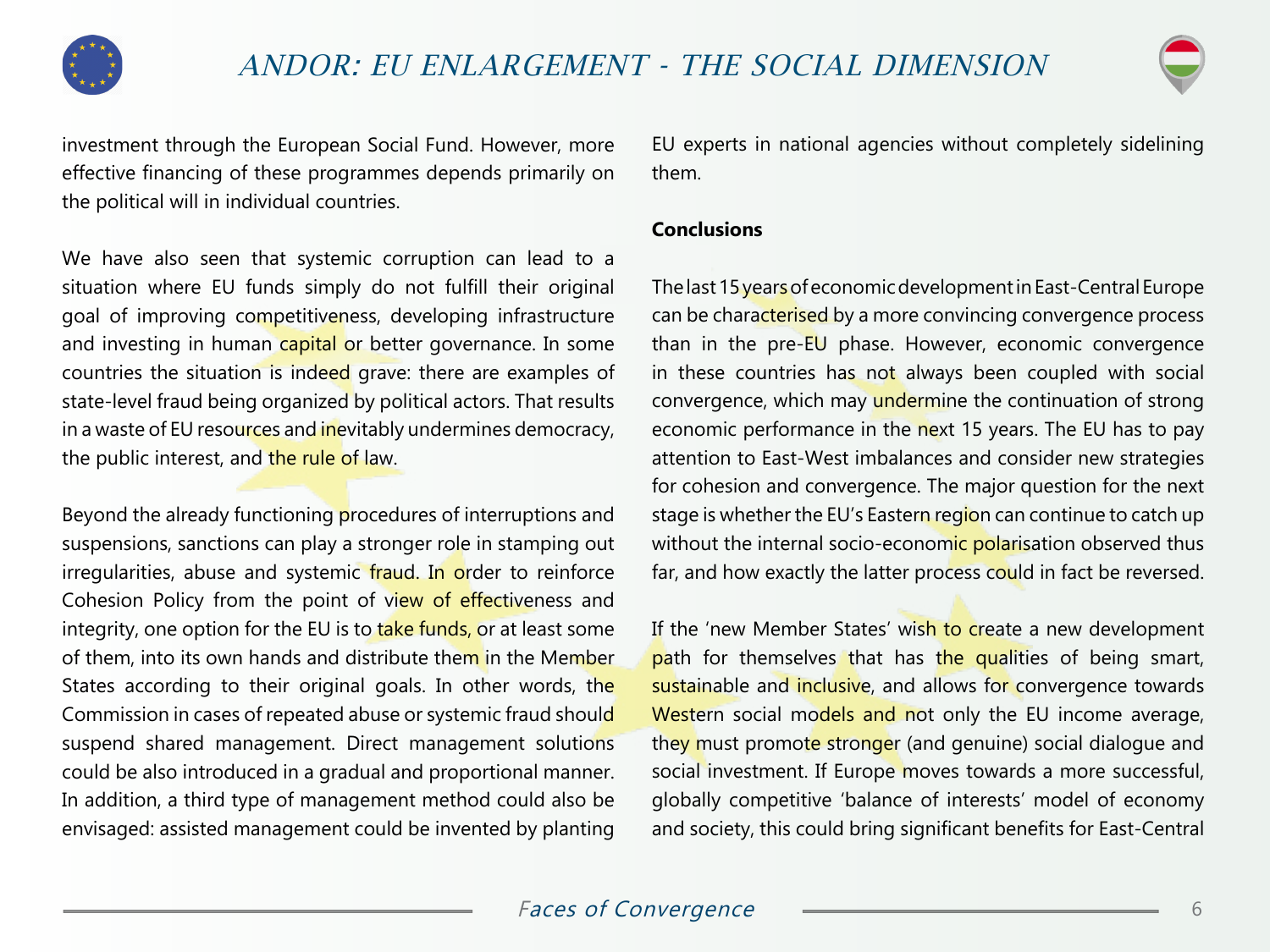



investment through the European Social Fund. However, more effective financing of these programmes depends primarily on the political will in individual countries.

We have also seen that systemic corruption can lead to a situation where EU funds simply do not fulfill their original goal of improving competitiveness, developing infrastructure and investing in human capital or better governance. In some countries the situation is indeed grave: there are examples of state-level fraud being organized by political actors. That results in a waste of EU resources and inevitably undermines democracy, the public interest, and the rule of law.

Beyond the already functioning procedures of interruptions and suspensions, sanctions can play a stronger role in stamping out irregularities, abuse and systemic fraud. In order to reinforce Cohesion Policy from the point of view of effectiveness and integrity, one option for the EU is to take funds, or at least some of them, into its own hands and distribute them in the Member States according to their original goals. In other words, the Commission in cases of repeated abuse or systemic fraud should suspend shared management. Direct management solutions could be also introduced in a gradual and proportional manner. In addition, a third type of management method could also be envisaged: assisted management could be invented by planting

EU experts in national agencies without completely sidelining them.

#### **Conclusions**

The last 15 years of economic development in East-Central Europe can be characterised by a more convincing convergence process than in the pre-EU phase. However, economic convergence in these countries has not always been coupled with social convergence, which may undermine the continuation of strong economic performance in the next 15 years. The EU has to pay attention to East-West imbalances and consider new strategies for cohesion and convergence. The major question for the next stage is whether the EU's Eastern region can continue to catch up without the internal socio-economic polarisation observed thus far, and how exactly the latter process could in fact be reversed.

If the 'new Member States' wish to create a new development path for themselves that has the qualities of being smart, sustainable and inclusive, and allows for convergence towards Western social models and not only the EU income average, they must promote stronger (and genuine) social dialogue and social investment. If Europe moves towards a more successful, globally competitive 'balance of interests' model of economy and society, this could bring significant benefits for East-Central